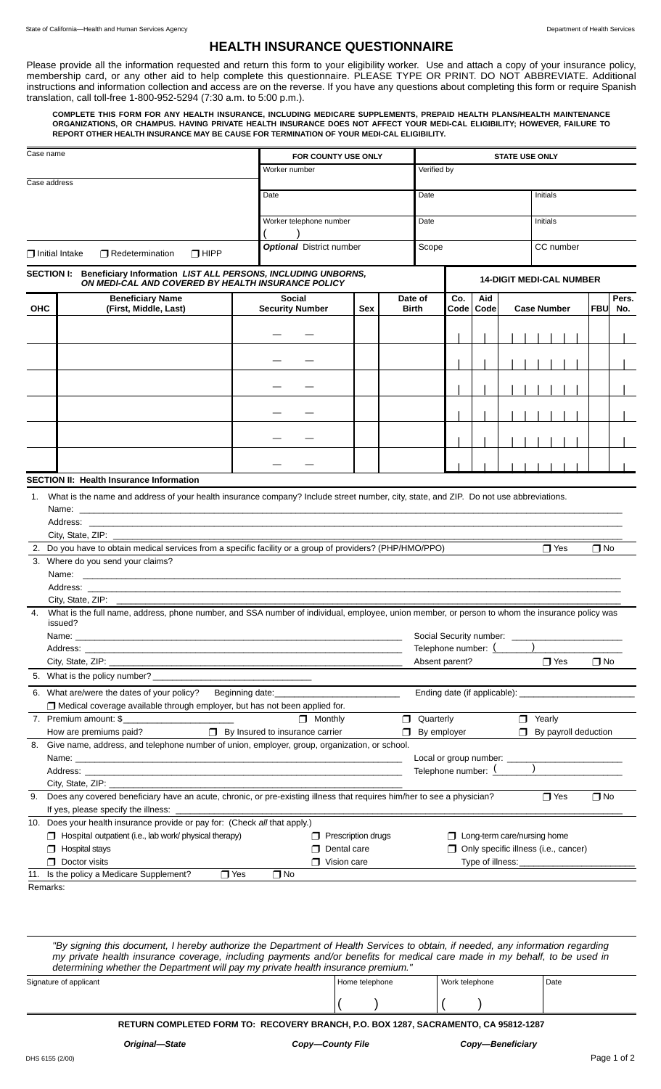## **HEALTH INSURANCE QUESTIONNAIRE**

Please provide all the information requested and return this form to your eligibility worker. Use and attach a copy of your insurance policy, membership card, or any other aid to help complete this questionnaire. PLEASE TYPE OR PRINT. DO NOT ABBREVIATE. Additional instructions and information collection and access are on the reverse. If you have any questions about completing this form or require Spanish translation, call toll-free 1-800-952-5294 (7:30 a.m. to 5:00 p.m.).

**COMPLETE THIS FORM FOR ANY HEALTH INSURANCE, INCLUDING MEDICARE SUPPLEMENTS, PREPAID HEALTH PLANS/HEALTH MAINTENANCE ORGANIZATIONS, OR CHAMPUS. HAVING PRIVATE HEALTH INSURANCE DOES NOT AFFECT YOUR MEDI-CAL ELIGIBILITY; HOWEVER, FAILURE TO REPORT OTHER HEALTH INSURANCE MAY BE CAUSE FOR TERMINATION OF YOUR MEDI-CAL ELIGIBILITY.**

| Case name    |                                                                                                                                                   |                                         | FOR COUNTY USE ONLY<br>Worker number |                         |                           | <b>STATE USE ONLY</b>                                |        |                                      |            |                            |  |  |  |
|--------------|---------------------------------------------------------------------------------------------------------------------------------------------------|-----------------------------------------|--------------------------------------|-------------------------|---------------------------|------------------------------------------------------|--------|--------------------------------------|------------|----------------------------|--|--|--|
|              |                                                                                                                                                   |                                         |                                      |                         |                           | Verified by                                          |        |                                      |            |                            |  |  |  |
| Case address |                                                                                                                                                   |                                         |                                      |                         |                           |                                                      |        |                                      |            |                            |  |  |  |
|              |                                                                                                                                                   |                                         | Date<br>Date                         |                         |                           |                                                      |        | Initials                             |            |                            |  |  |  |
|              |                                                                                                                                                   |                                         | Worker telephone number              |                         |                           | Date                                                 |        |                                      |            | Initials                   |  |  |  |
|              | $\Box$ Initial Intake<br>Redetermination<br>$\Box$ HIPP                                                                                           |                                         | <b>Optional</b> District number      |                         |                           | Scope                                                |        |                                      |            | CC number                  |  |  |  |
|              |                                                                                                                                                   |                                         |                                      |                         |                           |                                                      |        |                                      |            |                            |  |  |  |
|              | SECTION I: Beneficiary Information LIST ALL PERSONS, INCLUDING UNBORNS,<br>ON MEDI-CAL AND COVERED BY HEALTH INSURANCE POLICY                     |                                         |                                      |                         |                           |                                                      |        | <b>14-DIGIT MEDI-CAL NUMBER</b>      |            |                            |  |  |  |
| <b>OHC</b>   | <b>Beneficiary Name</b><br>(First, Middle, Last)                                                                                                  | <b>Social</b><br><b>Security Number</b> | Sex                                  | Date of<br><b>Birth</b> | Co.                       | Aid<br>Code<br>Code                                  |        | <b>Case Number</b>                   | <b>FBU</b> | Pers.<br>No.               |  |  |  |
|              |                                                                                                                                                   |                                         |                                      |                         |                           |                                                      |        |                                      |            |                            |  |  |  |
|              |                                                                                                                                                   |                                         |                                      |                         |                           |                                                      |        |                                      |            |                            |  |  |  |
|              |                                                                                                                                                   |                                         |                                      |                         |                           |                                                      |        |                                      |            |                            |  |  |  |
|              |                                                                                                                                                   |                                         |                                      |                         |                           |                                                      |        |                                      |            |                            |  |  |  |
|              |                                                                                                                                                   |                                         |                                      |                         |                           |                                                      |        |                                      |            |                            |  |  |  |
|              |                                                                                                                                                   |                                         |                                      |                         |                           |                                                      |        |                                      |            |                            |  |  |  |
|              |                                                                                                                                                   |                                         |                                      |                         |                           |                                                      |        |                                      |            |                            |  |  |  |
|              |                                                                                                                                                   |                                         |                                      |                         |                           |                                                      |        |                                      |            |                            |  |  |  |
|              |                                                                                                                                                   |                                         |                                      |                         |                           |                                                      |        |                                      |            |                            |  |  |  |
|              |                                                                                                                                                   |                                         |                                      |                         |                           |                                                      |        |                                      |            |                            |  |  |  |
|              | <b>SECTION II: Health Insurance Information</b>                                                                                                   |                                         |                                      |                         |                           |                                                      |        |                                      |            |                            |  |  |  |
|              | 1. What is the name and address of your health insurance company? Include street number, city, state, and ZIP. Do not use abbreviations.          |                                         |                                      |                         |                           |                                                      |        |                                      |            |                            |  |  |  |
|              |                                                                                                                                                   |                                         |                                      |                         |                           |                                                      |        |                                      |            |                            |  |  |  |
|              |                                                                                                                                                   |                                         |                                      |                         |                           |                                                      |        |                                      |            |                            |  |  |  |
|              |                                                                                                                                                   |                                         |                                      |                         |                           |                                                      |        |                                      |            |                            |  |  |  |
|              | 2. Do you have to obtain medical services from a specific facility or a group of providers? (PHP/HMO/PPO)                                         |                                         |                                      |                         |                           |                                                      |        | $\Box$ Yes                           | $\Box$ No  |                            |  |  |  |
|              | 3. Where do you send your claims?                                                                                                                 |                                         |                                      |                         |                           |                                                      |        |                                      |            |                            |  |  |  |
|              |                                                                                                                                                   |                                         |                                      |                         |                           |                                                      |        |                                      |            |                            |  |  |  |
|              |                                                                                                                                                   |                                         |                                      |                         |                           |                                                      |        |                                      |            |                            |  |  |  |
|              | 4. What is the full name, address, phone number, and SSA number of individual, employee, union member, or person to whom the insurance policy was |                                         |                                      |                         |                           |                                                      |        |                                      |            |                            |  |  |  |
|              | issued?                                                                                                                                           |                                         |                                      |                         |                           |                                                      |        |                                      |            |                            |  |  |  |
|              | Name:<br>Address:                                                                                                                                 |                                         |                                      |                         |                           | Social Security number: _____<br>Telephone number: ( |        |                                      |            |                            |  |  |  |
|              | City, State, ZIP: ____________                                                                                                                    |                                         |                                      |                         |                           | Absent parent?                                       |        |                                      |            | $\bigcap$ Yes<br>$\Box$ No |  |  |  |
|              | 5. What is the policy number? _                                                                                                                   |                                         |                                      |                         |                           |                                                      |        |                                      |            |                            |  |  |  |
|              | 6. What are/were the dates of your policy?<br>Ending date (if applicable): _____________<br>Beginning date:                                       |                                         |                                      |                         |                           |                                                      |        |                                      |            |                            |  |  |  |
|              | □ Medical coverage available through employer, but has not been applied for.                                                                      |                                         |                                      |                         |                           |                                                      |        |                                      |            |                            |  |  |  |
|              | 7. Premium amount: \$                                                                                                                             | $\Box$ Monthly                          |                                      | ⊓                       | Quarterly                 |                                                      |        | $\Box$ Yearly                        |            |                            |  |  |  |
|              | How are premiums paid?                                                                                                                            | $\Box$ By Insured to insurance carrier  |                                      | $\Box$                  | By employer               |                                                      | $\Box$ | By payroll deduction                 |            |                            |  |  |  |
| 8.           | Give name, address, and telephone number of union, employer, group, organization, or school.                                                      |                                         |                                      |                         |                           |                                                      |        |                                      |            |                            |  |  |  |
|              |                                                                                                                                                   |                                         |                                      |                         | Telephone number: $($ $)$ |                                                      |        |                                      |            |                            |  |  |  |
|              | City, State, ZIP: 2000 City, State, 2000 City, State, 2001                                                                                        |                                         |                                      |                         |                           |                                                      |        |                                      |            |                            |  |  |  |
| 9.           | Does any covered beneficiary have an acute, chronic, or pre-existing illness that requires him/her to see a physician?                            |                                         |                                      |                         |                           |                                                      |        | $\Box$ Yes                           | $\Box$ No  |                            |  |  |  |
|              | If yes, please specify the illness:                                                                                                               |                                         |                                      |                         |                           |                                                      |        |                                      |            |                            |  |  |  |
|              | 10. Does your health insurance provide or pay for: (Check all that apply.)                                                                        |                                         |                                      |                         |                           |                                                      |        |                                      |            |                            |  |  |  |
|              | $\Box$ Hospital outpatient (i.e., lab work/ physical therapy)                                                                                     |                                         | $\Box$ Prescription drugs            |                         |                           | □ Long-term care/nursing home                        |        |                                      |            |                            |  |  |  |
|              | $\Box$ Hospital stays<br>$\Box$ Doctor visits                                                                                                     |                                         | $\Box$ Dental care                   |                         |                           |                                                      |        | Only specific illness (i.e., cancer) |            |                            |  |  |  |
|              | $\Box$ Vision care<br>11. Is the policy a Medicare Supplement?<br>$\Box$ Yes<br>$\Box$ No                                                         |                                         |                                      |                         |                           |                                                      |        |                                      |            |                            |  |  |  |
| Remarks:     |                                                                                                                                                   |                                         |                                      |                         |                           |                                                      |        |                                      |            |                            |  |  |  |
|              |                                                                                                                                                   |                                         |                                      |                         |                           |                                                      |        |                                      |            |                            |  |  |  |

*"By signing this document, I hereby authorize the Department of Health Services to obtain, if needed, any information regarding my private health insurance coverage, including payments and/or benefits for medical care made in my behalf, to be used in determining whether the Department will pay my private health insurance premium."*

Signature of applicant  $\Box$  Date  $($  )  $|($  )

**RETURN COMPLETED FORM TO: RECOVERY BRANCH, P.O. BOX 1287, SACRAMENTO, CA 95812-1287**